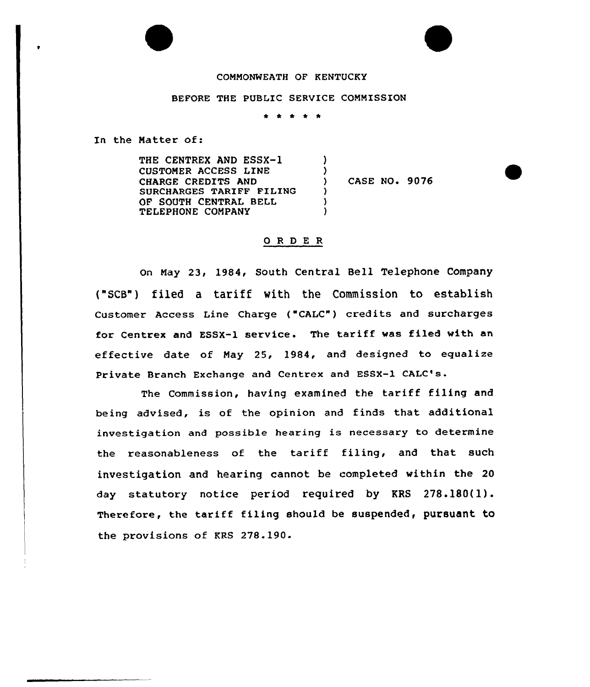### CONNONWEATH OF KENTUCKY

## BEFORE THE PUBLIC SERVICE COMMISSION

\* \* \* 1 \*

In the Natter of:

THE CENTREX AND ESSX-1 CUSTONER ACCESS LINE CHARGE CREDITS AND SURCHARGES TARIFF FILING OF SOUTH CENTRAL BELL TELEPHONE COMPANY )  $\left\{ \right\}$ CASE NO. 9076  $\lambda$ ) )

# 0 <sup>R</sup> <sup>D</sup> E <sup>R</sup>

on Nay 23, 1984, South Central Bell Telephone Company ("SCB"} filed a tariff with the Commission to establish Customer Access Line Charge ("CALC") credits and surcharges for Centrex and ESSX-1 service. The tariff was filed with an effective date of Nay 25, 1984, and designed to egualize Private Branch Exchange and Centrex and ESSX-1 CALC's.

The Commission, having examined the tariff filing and being advised, is of the opinion and finds that additional investigation and possible hearing is necessary to determine the reasonableness of the tariff filing, and that such investigation and hearing cannot be completed within the 20 day statutory notice period required by KRS 278.180(l). Therefore, the tariff filing should be suspended, pursuant to the provisions of KRS 278.190.